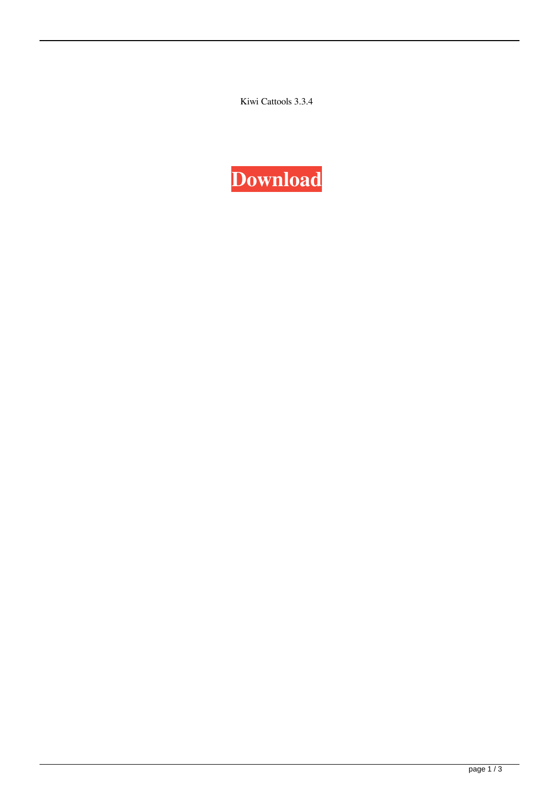Kiwi Cattools 3.3.4

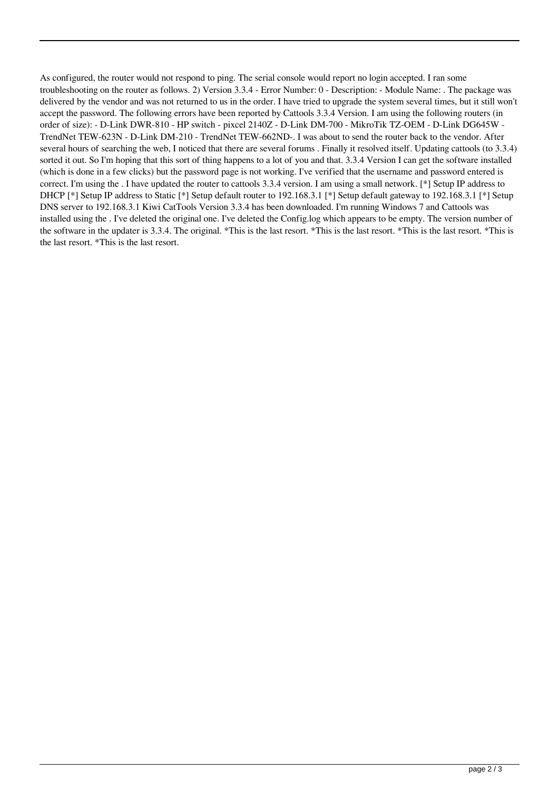As configured, the router would not respond to ping. The serial console would report no login accepted. I ran some troubleshooting on the router as follows. 2) Version 3.3.4 - Error Number: 0 - Description: - Module Name: . The package was delivered by the vendor and was not returned to us in the order. I have tried to upgrade the system several times, but it still won't accept the password. The following errors have been reported by Cattools 3.3.4 Version. I am using the following routers (in order of size): - D-Link DWR-810 - HP switch - pixcel 2140Z - D-Link DM-700 - MikroTik TZ-OEM - D-Link DG645W - TrendNet TEW-623N - D-Link DM-210 - TrendNet TEW-662ND-. I was about to send the router back to the vendor. After several hours of searching the web, I noticed that there are several forums . Finally it resolved itself. Updating cattools (to 3.3.4) sorted it out. So I'm hoping that this sort of thing happens to a lot of you and that. 3.3.4 Version I can get the software installed (which is done in a few clicks) but the password page is not working. I've verified that the username and password entered is correct. I'm using the . I have updated the router to cattools 3.3.4 version. I am using a small network. [\*] Setup IP address to DHCP [\*] Setup IP address to Static [\*] Setup default router to 192.168.3.1 [\*] Setup default gateway to 192.168.3.1 [\*] Setup DNS server to 192.168.3.1 Kiwi CatTools Version 3.3.4 has been downloaded. I'm running Windows 7 and Cattools was installed using the . I've deleted the original one. I've deleted the Config.log which appears to be empty. The version number of the software in the updater is 3.3.4. The original. \*This is the last resort. \*This is the last resort. \*This is the last resort. \*This is the last resort. \*This is the last resort.